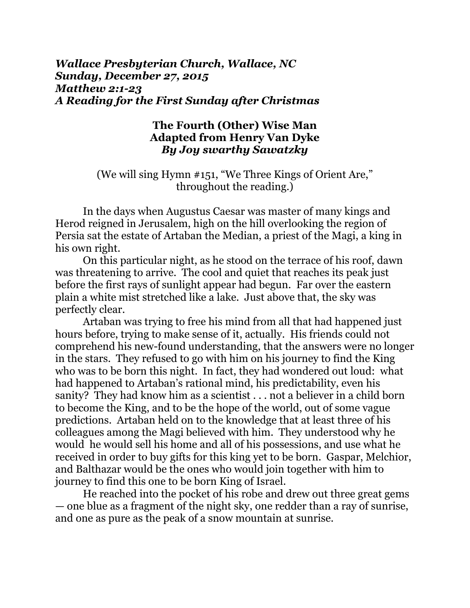## *Wallace Presbyterian Church, Wallace, NC Sunday, December 27, 2015 Matthew 2:1-23 A Reading for the First Sunday after Christmas*

## **The Fourth (Other) Wise Man Adapted from Henry Van Dyke**  *By Joy swarthy Sawatzky*

# (We will sing Hymn #151, "We Three Kings of Orient Are," throughout the reading.)

 In the days when Augustus Caesar was master of many kings and Herod reigned in Jerusalem, high on the hill overlooking the region of Persia sat the estate of Artaban the Median, a priest of the Magi, a king in his own right.

 On this particular night, as he stood on the terrace of his roof, dawn was threatening to arrive. The cool and quiet that reaches its peak just before the first rays of sunlight appear had begun. Far over the eastern plain a white mist stretched like a lake. Just above that, the sky was perfectly clear.

 Artaban was trying to free his mind from all that had happened just hours before, trying to make sense of it, actually. His friends could not comprehend his new-found understanding, that the answers were no longer in the stars. They refused to go with him on his journey to find the King who was to be born this night. In fact, they had wondered out loud: what had happened to Artaban's rational mind, his predictability, even his sanity? They had know him as a scientist . . . not a believer in a child born to become the King, and to be the hope of the world, out of some vague predictions. Artaban held on to the knowledge that at least three of his colleagues among the Magi believed with him. They understood why he would he would sell his home and all of his possessions, and use what he received in order to buy gifts for this king yet to be born. Gaspar, Melchior, and Balthazar would be the ones who would join together with him to journey to find this one to be born King of Israel.

 He reached into the pocket of his robe and drew out three great gems — one blue as a fragment of the night sky, one redder than a ray of sunrise, and one as pure as the peak of a snow mountain at sunrise.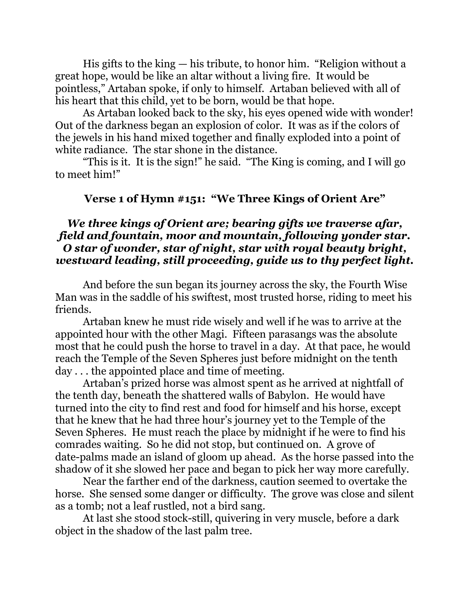His gifts to the king — his tribute, to honor him. "Religion without a great hope, would be like an altar without a living fire. It would be pointless," Artaban spoke, if only to himself. Artaban believed with all of his heart that this child, yet to be born, would be that hope.

 As Artaban looked back to the sky, his eyes opened wide with wonder! Out of the darkness began an explosion of color. It was as if the colors of the jewels in his hand mixed together and finally exploded into a point of white radiance. The star shone in the distance.

 "This is it. It is the sign!" he said. "The King is coming, and I will go to meet him!"

## **Verse 1 of Hymn #151: "We Three Kings of Orient Are"**

## *We three kings of Orient are; bearing gifts we traverse afar, field and fountain, moor and mountain, following yonder star. O star of wonder, star of night, star with royal beauty bright, westward leading, still proceeding, guide us to thy perfect light.*

 And before the sun began its journey across the sky, the Fourth Wise Man was in the saddle of his swiftest, most trusted horse, riding to meet his friends.

 Artaban knew he must ride wisely and well if he was to arrive at the appointed hour with the other Magi. Fifteen parasangs was the absolute most that he could push the horse to travel in a day. At that pace, he would reach the Temple of the Seven Spheres just before midnight on the tenth day . . . the appointed place and time of meeting.

 Artaban's prized horse was almost spent as he arrived at nightfall of the tenth day, beneath the shattered walls of Babylon. He would have turned into the city to find rest and food for himself and his horse, except that he knew that he had three hour's journey yet to the Temple of the Seven Spheres. He must reach the place by midnight if he were to find his comrades waiting. So he did not stop, but continued on. A grove of date-palms made an island of gloom up ahead. As the horse passed into the shadow of it she slowed her pace and began to pick her way more carefully.

 Near the farther end of the darkness, caution seemed to overtake the horse. She sensed some danger or difficulty. The grove was close and silent as a tomb; not a leaf rustled, not a bird sang.

 At last she stood stock-still, quivering in very muscle, before a dark object in the shadow of the last palm tree.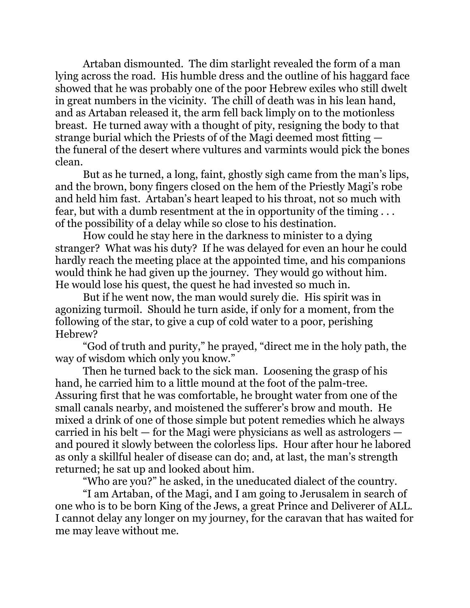Artaban dismounted. The dim starlight revealed the form of a man lying across the road. His humble dress and the outline of his haggard face showed that he was probably one of the poor Hebrew exiles who still dwelt in great numbers in the vicinity. The chill of death was in his lean hand, and as Artaban released it, the arm fell back limply on to the motionless breast. He turned away with a thought of pity, resigning the body to that strange burial which the Priests of of the Magi deemed most fitting the funeral of the desert where vultures and varmints would pick the bones clean.

 But as he turned, a long, faint, ghostly sigh came from the man's lips, and the brown, bony fingers closed on the hem of the Priestly Magi's robe and held him fast. Artaban's heart leaped to his throat, not so much with fear, but with a dumb resentment at the in opportunity of the timing . . . of the possibility of a delay while so close to his destination.

 How could he stay here in the darkness to minister to a dying stranger? What was his duty? If he was delayed for even an hour he could hardly reach the meeting place at the appointed time, and his companions would think he had given up the journey. They would go without him. He would lose his quest, the quest he had invested so much in.

 But if he went now, the man would surely die. His spirit was in agonizing turmoil. Should he turn aside, if only for a moment, from the following of the star, to give a cup of cold water to a poor, perishing Hebrew?

 "God of truth and purity," he prayed, "direct me in the holy path, the way of wisdom which only you know."

 Then he turned back to the sick man. Loosening the grasp of his hand, he carried him to a little mound at the foot of the palm-tree. Assuring first that he was comfortable, he brought water from one of the small canals nearby, and moistened the sufferer's brow and mouth. He mixed a drink of one of those simple but potent remedies which he always carried in his belt — for the Magi were physicians as well as astrologers and poured it slowly between the colorless lips. Hour after hour he labored as only a skillful healer of disease can do; and, at last, the man's strength returned; he sat up and looked about him.

"Who are you?" he asked, in the uneducated dialect of the country.

 "I am Artaban, of the Magi, and I am going to Jerusalem in search of one who is to be born King of the Jews, a great Prince and Deliverer of ALL. I cannot delay any longer on my journey, for the caravan that has waited for me may leave without me.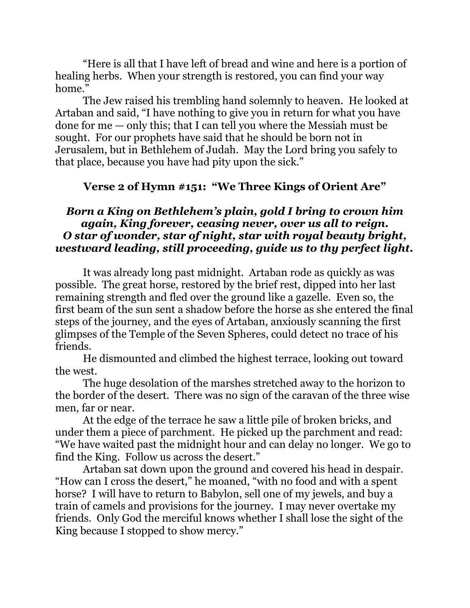"Here is all that I have left of bread and wine and here is a portion of healing herbs. When your strength is restored, you can find your way home."

 The Jew raised his trembling hand solemnly to heaven. He looked at Artaban and said, "I have nothing to give you in return for what you have done for me — only this; that I can tell you where the Messiah must be sought. For our prophets have said that he should be born not in Jerusalem, but in Bethlehem of Judah. May the Lord bring you safely to that place, because you have had pity upon the sick."

# **Verse 2 of Hymn #151: "We Three Kings of Orient Are"**

# *Born a King on Bethlehem's plain, gold I bring to crown him again, King forever, ceasing never, over us all to reign. O star of wonder, star of night, star with royal beauty bright, westward leading, still proceeding, guide us to thy perfect light.*

It was already long past midnight. Artaban rode as quickly as was possible. The great horse, restored by the brief rest, dipped into her last remaining strength and fled over the ground like a gazelle. Even so, the first beam of the sun sent a shadow before the horse as she entered the final steps of the journey, and the eyes of Artaban, anxiously scanning the first glimpses of the Temple of the Seven Spheres, could detect no trace of his friends.

 He dismounted and climbed the highest terrace, looking out toward the west.

 The huge desolation of the marshes stretched away to the horizon to the border of the desert. There was no sign of the caravan of the three wise men, far or near.

 At the edge of the terrace he saw a little pile of broken bricks, and under them a piece of parchment. He picked up the parchment and read: "We have waited past the midnight hour and can delay no longer. We go to find the King. Follow us across the desert."

 Artaban sat down upon the ground and covered his head in despair. "How can I cross the desert," he moaned, "with no food and with a spent horse? I will have to return to Babylon, sell one of my jewels, and buy a train of camels and provisions for the journey. I may never overtake my friends. Only God the merciful knows whether I shall lose the sight of the King because I stopped to show mercy."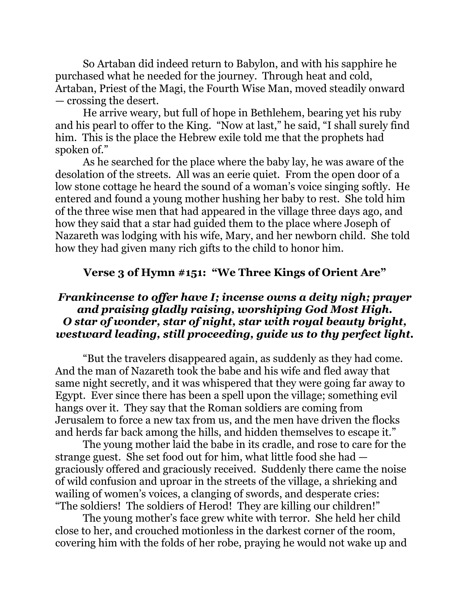So Artaban did indeed return to Babylon, and with his sapphire he purchased what he needed for the journey. Through heat and cold, Artaban, Priest of the Magi, the Fourth Wise Man, moved steadily onward — crossing the desert.

 He arrive weary, but full of hope in Bethlehem, bearing yet his ruby and his pearl to offer to the King. "Now at last," he said, "I shall surely find him. This is the place the Hebrew exile told me that the prophets had spoken of."

 As he searched for the place where the baby lay, he was aware of the desolation of the streets. All was an eerie quiet. From the open door of a low stone cottage he heard the sound of a woman's voice singing softly. He entered and found a young mother hushing her baby to rest. She told him of the three wise men that had appeared in the village three days ago, and how they said that a star had guided them to the place where Joseph of Nazareth was lodging with his wife, Mary, and her newborn child. She told how they had given many rich gifts to the child to honor him.

# **Verse 3 of Hymn #151: "We Three Kings of Orient Are"**

## *Frankincense to offer have I; incense owns a deity nigh; prayer and praising gladly raising, worshiping God Most High. O star of wonder, star of night, star with royal beauty bright, westward leading, still proceeding, guide us to thy perfect light.*

 "But the travelers disappeared again, as suddenly as they had come. And the man of Nazareth took the babe and his wife and fled away that same night secretly, and it was whispered that they were going far away to Egypt. Ever since there has been a spell upon the village; something evil hangs over it. They say that the Roman soldiers are coming from Jerusalem to force a new tax from us, and the men have driven the flocks and herds far back among the hills, and hidden themselves to escape it."

 The young mother laid the babe in its cradle, and rose to care for the strange guest. She set food out for him, what little food she had graciously offered and graciously received. Suddenly there came the noise of wild confusion and uproar in the streets of the village, a shrieking and wailing of women's voices, a clanging of swords, and desperate cries: "The soldiers! The soldiers of Herod! They are killing our children!"

 The young mother's face grew white with terror. She held her child close to her, and crouched motionless in the darkest corner of the room, covering him with the folds of her robe, praying he would not wake up and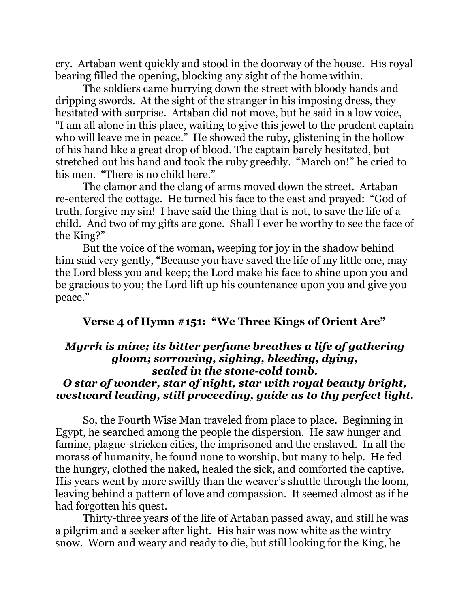cry. Artaban went quickly and stood in the doorway of the house. His royal bearing filled the opening, blocking any sight of the home within.

 The soldiers came hurrying down the street with bloody hands and dripping swords. At the sight of the stranger in his imposing dress, they hesitated with surprise. Artaban did not move, but he said in a low voice, "I am all alone in this place, waiting to give this jewel to the prudent captain who will leave me in peace." He showed the ruby, glistening in the hollow of his hand like a great drop of blood. The captain barely hesitated, but stretched out his hand and took the ruby greedily. "March on!" he cried to his men. "There is no child here."

 The clamor and the clang of arms moved down the street. Artaban re-entered the cottage. He turned his face to the east and prayed: "God of truth, forgive my sin! I have said the thing that is not, to save the life of a child. And two of my gifts are gone. Shall I ever be worthy to see the face of the King?"

 But the voice of the woman, weeping for joy in the shadow behind him said very gently, "Because you have saved the life of my little one, may the Lord bless you and keep; the Lord make his face to shine upon you and be gracious to you; the Lord lift up his countenance upon you and give you peace."

## **Verse 4 of Hymn #151: "We Three Kings of Orient Are"**

#### *Myrrh is mine; its bitter perfume breathes a life of gathering gloom; sorrowing, sighing, bleeding, dying, sealed in the stone-cold tomb.*

# *O star of wonder, star of night, star with royal beauty bright, westward leading, still proceeding, guide us to thy perfect light.*

 So, the Fourth Wise Man traveled from place to place. Beginning in Egypt, he searched among the people the dispersion. He saw hunger and famine, plague-stricken cities, the imprisoned and the enslaved. In all the morass of humanity, he found none to worship, but many to help. He fed the hungry, clothed the naked, healed the sick, and comforted the captive. His years went by more swiftly than the weaver's shuttle through the loom, leaving behind a pattern of love and compassion. It seemed almost as if he had forgotten his quest.

 Thirty-three years of the life of Artaban passed away, and still he was a pilgrim and a seeker after light. His hair was now white as the wintry snow. Worn and weary and ready to die, but still looking for the King, he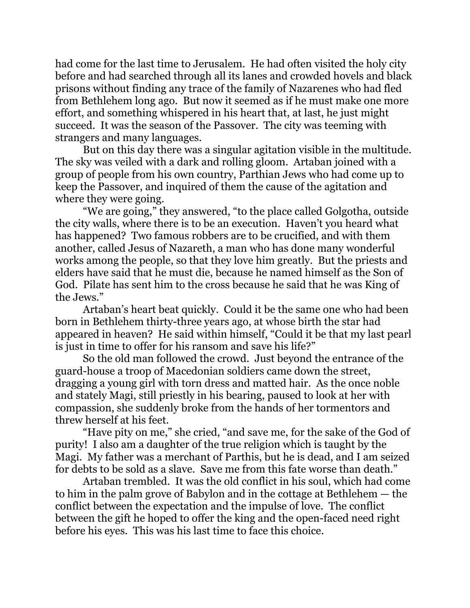had come for the last time to Jerusalem. He had often visited the holy city before and had searched through all its lanes and crowded hovels and black prisons without finding any trace of the family of Nazarenes who had fled from Bethlehem long ago. But now it seemed as if he must make one more effort, and something whispered in his heart that, at last, he just might succeed. It was the season of the Passover. The city was teeming with strangers and many languages.

 But on this day there was a singular agitation visible in the multitude. The sky was veiled with a dark and rolling gloom. Artaban joined with a group of people from his own country, Parthian Jews who had come up to keep the Passover, and inquired of them the cause of the agitation and where they were going.

 "We are going," they answered, "to the place called Golgotha, outside the city walls, where there is to be an execution. Haven't you heard what has happened? Two famous robbers are to be crucified, and with them another, called Jesus of Nazareth, a man who has done many wonderful works among the people, so that they love him greatly. But the priests and elders have said that he must die, because he named himself as the Son of God. Pilate has sent him to the cross because he said that he was King of the Jews."

 Artaban's heart beat quickly. Could it be the same one who had been born in Bethlehem thirty-three years ago, at whose birth the star had appeared in heaven? He said within himself, "Could it be that my last pearl is just in time to offer for his ransom and save his life?"

 So the old man followed the crowd. Just beyond the entrance of the guard-house a troop of Macedonian soldiers came down the street, dragging a young girl with torn dress and matted hair. As the once noble and stately Magi, still priestly in his bearing, paused to look at her with compassion, she suddenly broke from the hands of her tormentors and threw herself at his feet.

 "Have pity on me," she cried, "and save me, for the sake of the God of purity! I also am a daughter of the true religion which is taught by the Magi. My father was a merchant of Parthis, but he is dead, and I am seized for debts to be sold as a slave. Save me from this fate worse than death."

 Artaban trembled. It was the old conflict in his soul, which had come to him in the palm grove of Babylon and in the cottage at Bethlehem — the conflict between the expectation and the impulse of love. The conflict between the gift he hoped to offer the king and the open-faced need right before his eyes. This was his last time to face this choice.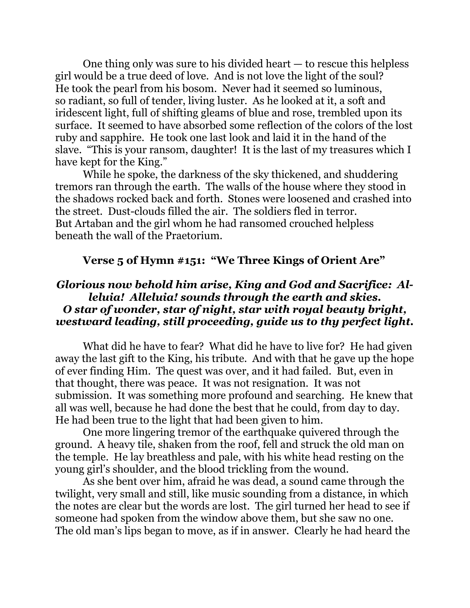One thing only was sure to his divided heart — to rescue this helpless girl would be a true deed of love. And is not love the light of the soul? He took the pearl from his bosom. Never had it seemed so luminous, so radiant, so full of tender, living luster. As he looked at it, a soft and iridescent light, full of shifting gleams of blue and rose, trembled upon its surface. It seemed to have absorbed some reflection of the colors of the lost ruby and sapphire. He took one last look and laid it in the hand of the slave. "This is your ransom, daughter! It is the last of my treasures which I have kept for the King."

 While he spoke, the darkness of the sky thickened, and shuddering tremors ran through the earth. The walls of the house where they stood in the shadows rocked back and forth. Stones were loosened and crashed into the street. Dust-clouds filled the air. The soldiers fled in terror. But Artaban and the girl whom he had ransomed crouched helpless beneath the wall of the Praetorium.

## **Verse 5 of Hymn #151: "We Three Kings of Orient Are"**

## *Glorious now behold him arise, King and God and Sacrifice: Alleluia! Alleluia! sounds through the earth and skies. O star of wonder, star of night, star with royal beauty bright, westward leading, still proceeding, guide us to thy perfect light.*

 What did he have to fear? What did he have to live for? He had given away the last gift to the King, his tribute. And with that he gave up the hope of ever finding Him. The quest was over, and it had failed. But, even in that thought, there was peace. It was not resignation. It was not submission. It was something more profound and searching. He knew that all was well, because he had done the best that he could, from day to day. He had been true to the light that had been given to him.

 One more lingering tremor of the earthquake quivered through the ground. A heavy tile, shaken from the roof, fell and struck the old man on the temple. He lay breathless and pale, with his white head resting on the young girl's shoulder, and the blood trickling from the wound.

 As she bent over him, afraid he was dead, a sound came through the twilight, very small and still, like music sounding from a distance, in which the notes are clear but the words are lost. The girl turned her head to see if someone had spoken from the window above them, but she saw no one. The old man's lips began to move, as if in answer. Clearly he had heard the